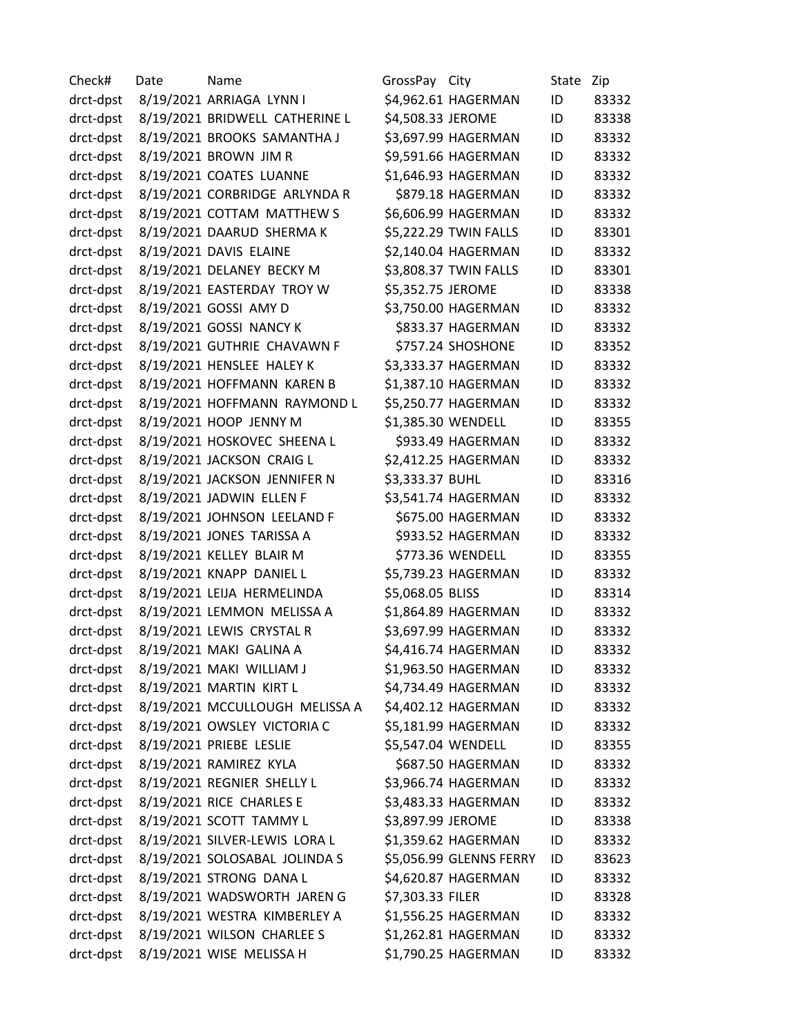Check# Date Name GrossPay City State Zip drct-dpst 8/19/2021 ARRIAGA LYNN I \$4,962.61 HAGERMAN ID 83332 drct-dpst 8/19/2021 BRIDWELL CATHERINE L \$4,508.33 JEROME ID 83338 drct-dpst 8/19/2021 BROOKS SAMANTHA J \$3,697.99 HAGERMAN ID 83332 drct-dpst 8/19/2021 BROWN JIM R \$9,591.66 HAGERMAN ID 83332 drct-dpst 8/19/2021 COATES LUANNE \$1,646.93 HAGERMAN ID 83332 drct-dpst 8/19/2021 CORBRIDGE ARLYNDA R \$879.18 HAGERMAN ID 83332 drct-dpst 8/19/2021 COTTAM MATTHEW S \$6,606.99 HAGERMAN ID 83332 drct-dpst 8/19/2021 DAARUD SHERMA K \$5,222.29 TWIN FALLS ID 83301 drct-dpst 8/19/2021 DAVIS ELAINE \$2,140.04 HAGERMAN ID 83332 drct-dpst 8/19/2021 DELANEY BECKY M \$3,808.37 TWIN FALLS ID 83301 drct-dpst 8/19/2021 EASTERDAY TROY W \$5,352.75 JEROME ID 83338 drct-dpst 8/19/2021 GOSSI AMY D \$3,750.00 HAGERMAN ID 83332 drct-dpst 8/19/2021 GOSSI NANCY K \$833.37 HAGERMAN ID 83332 drct-dpst 8/19/2021 GUTHRIE CHAVAWN F \$757.24 SHOSHONE ID 83352 drct-dpst 8/19/2021 HENSLEE HALEY K \$3,333.37 HAGERMAN ID 83332 drct-dpst 8/19/2021 HOFFMANN KAREN B \$1,387.10 HAGERMAN ID 83332 drct-dpst 8/19/2021 HOFFMANN RAYMOND L \$5,250.77 HAGERMAN ID 83332 drct-dpst 8/19/2021 HOOP JENNY M \$1,385.30 WENDELL ID 83355 drct-dpst 8/19/2021 HOSKOVEC SHEENA L \$933.49 HAGERMAN ID 83332 drct-dpst 8/19/2021 JACKSON CRAIG L \$2,412.25 HAGERMAN ID 83332 drct-dpst 8/19/2021 JACKSON JENNIFER N \$3,333.37 BUHL ID 83316 drct-dpst 8/19/2021 JADWIN ELLEN F \$3,541.74 HAGERMAN ID 83332 drct-dpst 8/19/2021 JOHNSON LEELAND F \$675.00 HAGERMAN ID 83332 drct-dpst 8/19/2021 JONES TARISSA A \$933.52 HAGERMAN ID 83332 drct-dpst 8/19/2021 KELLEY BLAIR M \$773.36 WENDELL ID 83355 drct-dpst 8/19/2021 KNAPP DANIEL L \$5,739.23 HAGERMAN ID 83332 drct-dpst 8/19/2021 LEIJA HERMELINDA \$5,068.05 BLISS ID 83314 drct-dpst 8/19/2021 LEMMON MELISSA A \$1,864.89 HAGERMAN ID 83332 drct-dpst 8/19/2021 LEWIS CRYSTAL R \$3,697.99 HAGERMAN ID 83332 drct-dpst 8/19/2021 MAKI GALINA A \$4,416.74 HAGERMAN ID 83332 drct-dpst 8/19/2021 MAKI WILLIAM J \$1,963.50 HAGERMAN ID 83332 drct-dpst 8/19/2021 MARTIN KIRT L \$4,734.49 HAGERMAN ID 83332 drct-dpst 8/19/2021 MCCULLOUGH MELISSA A \$4,402.12 HAGERMAN ID 83332 drct-dpst 8/19/2021 OWSLEY VICTORIA C \$5,181.99 HAGERMAN ID 83332 drct-dpst 8/19/2021 PRIEBE LESLIE \$5,547.04 WENDELL ID 83355 drct-dpst 8/19/2021 RAMIREZ KYLA \$687.50 HAGERMAN ID 83332 drct-dpst 8/19/2021 REGNIER SHELLY L \$3,966.74 HAGERMAN ID 83332 drct-dpst 8/19/2021 RICE CHARLES E \$3,483.33 HAGERMAN ID 83332 drct-dpst 8/19/2021 SCOTT TAMMY L \$3,897.99 JEROME ID 83338 drct-dpst 8/19/2021 SILVER-LEWIS LORA L \$1,359.62 HAGERMAN ID 83332 drct-dpst 8/19/2021 SOLOSABAL JOLINDA S \$5,056.99 GLENNS FERRY ID 83623 drct-dpst 8/19/2021 STRONG DANA L \$4,620.87 HAGERMAN ID 83332 drct-dpst 8/19/2021 WADSWORTH JAREN G \$7,303.33 FILER ID 83328 drct-dpst 8/19/2021 WESTRA KIMBERLEY A \$1,556.25 HAGERMAN ID 83332 drct-dpst 8/19/2021 WILSON CHARLEE S \$1,262.81 HAGERMAN ID 83332 drct-dpst 8/19/2021 WISE MELISSA H \$1,790.25 HAGERMAN ID 83332